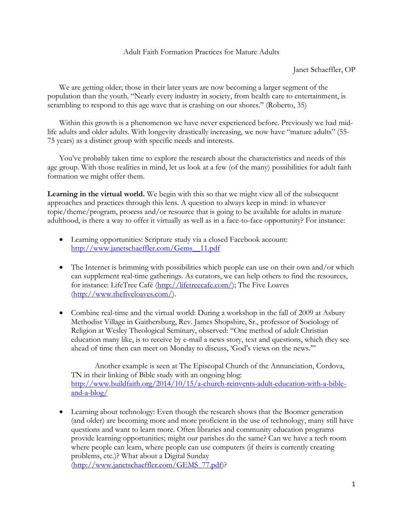#### Adult Faith Formation Practices for Mature Adults

Janet Schaeffler, OP

We are getting older; those in their later years are now becoming a larger segment of the population than the youth. "Nearly every industry in society, from health care to entertainment, is scrambling to respond to this age wave that is crashing on our shores." (Roberto, 35)

Within this growth is a phenomenon we have never experienced before. Previously we had midlife adults and older adults. With longevity drastically increasing, we now have "mature adults" (55- 75 years) as a distinct group with specific needs and interests.

You've probably taken time to explore the research about the characteristics and needs of this age group. With those realities in mind, let us look at a few (of the many) possibilities for adult faith formation we might offer them.

**Learning in the virtual world.** We begin with this so that we might view all of the subsequent approaches and practices through this lens. A question to always keep in mind: in whatever topic/theme/program, process and/or resource that is going to be available for adults in mature adulthood, is there a way to offer it virtually as well as in a face-to-face opportunity? For instance:

- Learning opportunities: Scripture study via a closed Facebook account: [http://www.janetschaeffler.com/Gems\\_\\_11.pdf](http://www.janetschaeffler.com/Gems__11.pdf)
- The Internet is brimming with possibilities which people can use on their own and/or which can supplement real-time gatherings. As curators, we can help others to find the resources, for instance: LifeTree Café [\(http://lifetreecafe.com/\)](http://lifetreecafe.com/); The Five Loaves [\(http://www.thefiveloaves.com/\)](http://www.thefiveloaves.com/).
- Combine real-time and the virtual world: During a workshop in the fall of 2009 at Asbury Methodist Village in Gaithersburg, Rev. James Shopshire, Sr., professor of Sociology of Religion at Wesley Theological Seminary, observed: "One method of adult Christian education many like, is to receive by e-mail a news story, text and questions, which they see ahead of time then can meet on Monday to discuss, 'God's views on the news.'"

Another example is seen at The Episcopal Church of the Annunciation, Cordova, TN in their linking of Bible study with an ongoing blog: [http://www.buildfaith.org/2014/10/15/a-church-reinvents-adult-education-with-a-bible](http://www.buildfaith.org/2014/10/15/a-church-reinvents-adult-education-with-a-bible-and-a-blog/)[and-a-blog/](http://www.buildfaith.org/2014/10/15/a-church-reinvents-adult-education-with-a-bible-and-a-blog/)

• Learning about technology: Even though the research shows that the Boomer generation (and older) are becoming more and more proficient in the use of technology, many still have questions and want to learn more. Often libraries and community education programs provide learning opportunities; might our parishes do the same? Can we have a tech room where people can learn, where people can use computers (if theirs is currently creating problems, etc.)? What about a Digital Sunday [\(http://www.janetschaeffler.com/GEMS\\_77.pdf\)](http://www.janetschaeffler.com/GEMS_77.pdf)?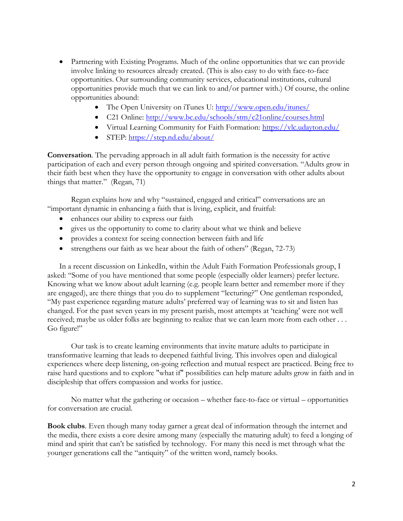- Partnering with Existing Programs. Much of the online opportunities that we can provide involve linking to resources already created. (This is also easy to do with face-to-face opportunities. Our surrounding community services, educational institutions, cultural opportunities provide much that we can link to and/or partner with.) Of course, the online opportunities abound:
	- The Open University on iTunes U:<http://www.open.edu/itunes/>
	- C21 Online:<http://www.bc.edu/schools/stm/c21online/courses.html>
	- Virtual Learning Community for Faith Formation:<https://vlc.udayton.edu/>
	- STEP:<https://step.nd.edu/about/>

**Conversation**. The pervading approach in all adult faith formation is the necessity for active participation of each and every person through ongoing and spirited conversation. "Adults grow in their faith best when they have the opportunity to engage in conversation with other adults about things that matter." (Regan, 71)

Regan explains how and why "sustained, engaged and critical" conversations are an "important dynamic in enhancing a faith that is living, explicit, and fruitful:

- enhances our ability to express our faith
- gives us the opportunity to come to clarity about what we think and believe
- provides a context for seeing connection between faith and life
- strengthens our faith as we hear about the faith of others" (Regan, 72-73)

In a recent discussion on LinkedIn, within the Adult Faith Formation Professionals group, I asked: "Some of you have mentioned that some people (especially older learners) prefer lecture. Knowing what we know about adult learning (e.g. people learn better and remember more if they are engaged), are there things that you do to supplement "lecturing?" One gentleman responded, "My past experience regarding mature adults' preferred way of learning was to sit and listen has changed. For the past seven years in my present parish, most attempts at 'teaching' were not well received; maybe us older folks are beginning to realize that we can learn more from each other . . . Go figure!"

Our task is to create learning environments that invite mature adults to participate in transformative learning that leads to deepened faithful living. This involves open and dialogical experiences where deep listening, on-going reflection and mutual respect are practiced. Being free to raise hard questions and to explore "what if" possibilities can help mature adults grow in faith and in discipleship that offers compassion and works for justice.

No matter what the gathering or occasion – whether face-to-face or virtual – opportunities for conversation are crucial.

**Book clubs**. Even though many today garner a great deal of information through the internet and the media, there exists a core desire among many (especially the maturing adult) to feed a longing of mind and spirit that can't be satisfied by technology. For many this need is met through what the younger generations call the "antiquity" of the written word, namely books.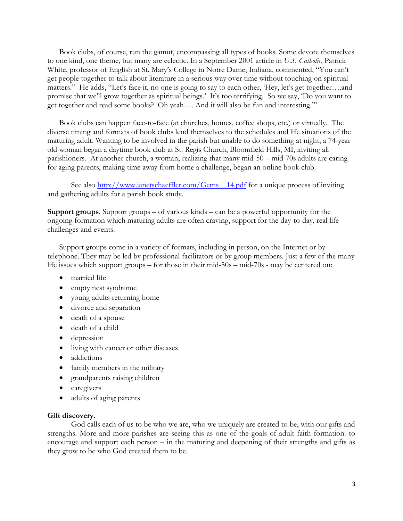Book clubs, of course, run the gamut, encompassing all types of books. Some devote themselves to one kind, one theme, but many are eclectic. In a September 2001 article in *U.S. Catholic*, Patrick White, professor of English at St. Mary's College in Notre Dame, Indiana, commented, "You can't get people together to talk about literature in a serious way over time without touching on spiritual matters." He adds, "Let's face it, no one is going to say to each other, 'Hey, let's get together….and promise that we'll grow together as spiritual beings.' It's too terrifying. So we say, 'Do you want to get together and read some books? Oh yeah…. And it will also be fun and interesting.'"

Book clubs can happen face-to-face (at churches, homes, coffee shops, etc.) or virtually. The diverse timing and formats of book clubs lend themselves to the schedules and life situations of the maturing adult. Wanting to be involved in the parish but unable to do something at night, a 74-year old woman began a daytime book club at St. Regis Church, Bloomfield Hills, MI, inviting all parishioners. At another church, a woman, realizing that many mid-50 – mid-70s adults are caring for aging parents, making time away from home a challenge, began an online book club.

See also [http://www.janetschaeffler.com/Gems\\_\\_14.pdf](http://www.janetschaeffler.com/Gems__14.pdf) for a unique process of inviting and gathering adults for a parish book study.

**Support groups**. Support groups – of various kinds – can be a powerful opportunity for the ongoing formation which maturing adults are often craving, support for the day-to-day, real life challenges and events.

Support groups come in a variety of formats, including in person, on the Internet or by telephone. They may be led by professional facilitators or by group members. Just a few of the many life issues which support groups – for those in their mid-50s – mid-70s - may be centered on:

- married life
- empty nest syndrome
- young adults returning home
- divorce and separation
- death of a spouse
- death of a child
- depression
- living with cancer or other diseases
- addictions
- family members in the military
- grandparents raising children
- caregivers
- adults of aging parents

#### **Gift discovery.**

God calls each of us to be who we are, who we uniquely are created to be, with our gifts and strengths. More and more parishes are seeing this as one of the goals of adult faith formation: to encourage and support each person – in the maturing and deepening of their strengths and gifts as they grow to be who God created them to be.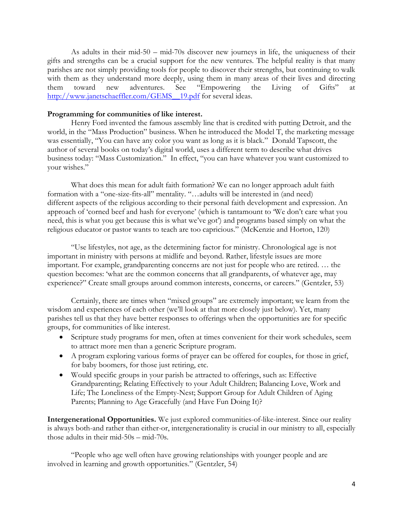As adults in their mid-50 – mid-70s discover new journeys in life, the uniqueness of their gifts and strengths can be a crucial support for the new ventures. The helpful reality is that many parishes are not simply providing tools for people to discover their strengths, but continuing to walk with them as they understand more deeply, using them in many areas of their lives and directing them toward new adventures. See "Empowering the Living of Gifts" at http://www.janetschaeffler.com/GEMS 19.pdf for several ideas.

## **Programming for communities of like interest.**

Henry Ford invented the famous assembly line that is credited with putting Detroit, and the world, in the "Mass Production" business. When he introduced the Model T, the marketing message was essentially, "You can have any color you want as long as it is black." Donald Tapscott, the author of several books on today's digital world, uses a different term to describe what drives business today: "Mass Customization." In effect, "you can have whatever you want customized to your wishes."

What does this mean for adult faith formation? We can no longer approach adult faith formation with a "one-size-fits-all" mentality. "…adults will be interested in (and need) different aspects of the religious according to their personal faith development and expression. An approach of 'corned beef and hash for everyone' (which is tantamount to 'We don't care what you need, this is what you get because this is what we've got') and programs based simply on what the religious educator or pastor wants to teach are too capricious." (McKenzie and Horton, 120)

"Use lifestyles, not age, as the determining factor for ministry. Chronological age is not important in ministry with persons at midlife and beyond. Rather, lifestyle issues are more important. For example, grandparenting concerns are not just for people who are retired. … the question becomes: 'what are the common concerns that all grandparents, of whatever age, may experience?" Create small groups around common interests, concerns, or careers." (Gentzler, 53)

Certainly, there are times when "mixed groups" are extremely important; we learn from the wisdom and experiences of each other (we'll look at that more closely just below). Yet, many parishes tell us that they have better responses to offerings when the opportunities are for specific groups, for communities of like interest.

- Scripture study programs for men, often at times convenient for their work schedules, seem to attract more men than a generic Scripture program.
- A program exploring various forms of prayer can be offered for couples, for those in grief, for baby boomers, for those just retiring, etc.
- Would specific groups in your parish be attracted to offerings, such as: Effective Grandparenting; Relating Effectively to your Adult Children; Balancing Love, Work and Life; The Loneliness of the Empty-Nest; Support Group for Adult Children of Aging Parents; Planning to Age Gracefully (and Have Fun Doing It)?

**Intergenerational Opportunities.** We just explored communities-of-like-interest. Since our reality is always both-and rather than either-or, intergenerationality is crucial in our ministry to all, especially those adults in their mid-50s – mid-70s.

"People who age well often have growing relationships with younger people and are involved in learning and growth opportunities." (Gentzler, 54)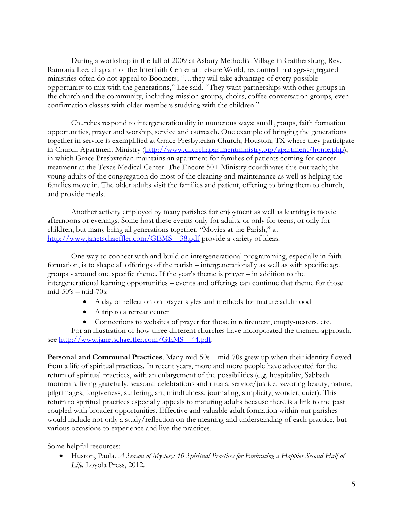During a workshop in the fall of 2009 at Asbury Methodist Village in Gaithersburg, Rev. Ramonia Lee, chaplain of the Interfaith Center at Leisure World, recounted that age-segregated ministries often do not appeal to Boomers; "…they will take advantage of every possible opportunity to mix with the generations," Lee said. "They want partnerships with other groups in the church and the community, including mission groups, choirs, coffee conversation groups, even confirmation classes with older members studying with the children."

Churches respond to intergenerationality in numerous ways: small groups, faith formation opportunities, prayer and worship, service and outreach. One example of bringing the generations together in service is exemplified at Grace Presbyterian Church, Houston, TX where they participate in Church Apartment Ministry [\(http://www.churchapartmentministry.org/apartment/home.php\)](http://www.churchapartmentministry.org/apartment/home.php), in which Grace Presbyterian maintains an apartment for families of patients coming for cancer treatment at the Texas Medical Center. The Encore 50+ Ministry coordinates this outreach; the young adults of the congregation do most of the cleaning and maintenance as well as helping the families move in. The older adults visit the families and patient, offering to bring them to church, and provide meals.

Another activity employed by many parishes for enjoyment as well as learning is movie afternoons or evenings. Some host these events only for adults, or only for teens, or only for children, but many bring all generations together. "Movies at the Parish," at http://www.janetschaeffler.com/GEMS 38.pdf provide a variety of ideas.

One way to connect with and build on intergenerational programming, especially in faith formation, is to shape all offerings of the parish – intergenerationally as well as with specific age groups - around one specific theme. If the year's theme is prayer – in addition to the intergenerational learning opportunities – events and offerings can continue that theme for those  $mid-50's - mid-70s$ :

- A day of reflection on prayer styles and methods for mature adulthood
- A trip to a retreat center
- Connections to websites of prayer for those in retirement, empty-nesters, etc.

For an illustration of how three different churches have incorporated the themed-approach, see [http://www.janetschaeffler.com/GEMS\\_\\_44.pdf.](http://www.janetschaeffler.com/GEMS__44.pdf)

**Personal and Communal Practices**. Many mid-50s – mid-70s grew up when their identity flowed from a life of spiritual practices. In recent years, more and more people have advocated for the return of spiritual practices, with an enlargement of the possibilities (e.g. hospitality, Sabbath moments, living gratefully, seasonal celebrations and rituals, service/justice, savoring beauty, nature, pilgrimages, forgiveness, suffering, art, mindfulness, journaling, simplicity, wonder, quiet). This return to spiritual practices especially appeals to maturing adults because there is a link to the past coupled with broader opportunities. Effective and valuable adult formation within our parishes would include not only a study/reflection on the meaning and understanding of each practice, but various occasions to experience and live the practices.

Some helpful resources:

• Huston, Paula. *A Season of Mystery: 10 Spiritual Practices for Embracing a Happier Second Half of Life.* Loyola Press, 2012.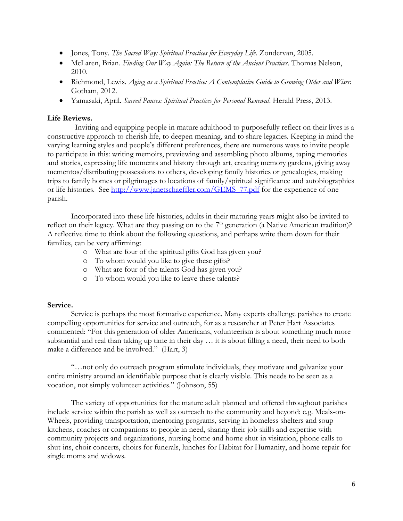- Jones, Tony. *The Sacred Way: Spiritual Practices for Everyday Life*. Zondervan, 2005.
- McLaren, Brian. *Finding Our Way Again: The Return of the Ancient Practices*. Thomas Nelson, 2010.
- Richmond, Lewis. *Aging as a Spiritual Practice: A Contemplative Guide to Growing Older and Wiser.* Gotham, 2012.
- Yamasaki, April. *Sacred Pauses: Spiritual Practices for Personal Renewal*. Herald Press, 2013.

## **Life Reviews.**

 Inviting and equipping people in mature adulthood to purposefully reflect on their lives is a constructive approach to cherish life, to deepen meaning, and to share legacies. Keeping in mind the varying learning styles and people's different preferences, there are numerous ways to invite people to participate in this: writing memoirs, previewing and assembling photo albums, taping memories and stories, expressing life moments and history through art, creating memory gardens, giving away mementos/distributing possessions to others, developing family histories or genealogies, making trips to family homes or pilgrimages to locations of family/spiritual significance and autobiographies or life histories. See [http://www.janetschaeffler.com/GEMS\\_77.pdf](http://www.janetschaeffler.com/GEMS_77.pdf) for the experience of one parish.

Incorporated into these life histories, adults in their maturing years might also be invited to reflect on their legacy. What are they passing on to the 7<sup>th</sup> generation (a Native American tradition)? A reflective time to think about the following questions, and perhaps write them down for their families, can be very affirming:

- o What are four of the spiritual gifts God has given you?
- o To whom would you like to give these gifts?
- o What are four of the talents God has given you?
- o To whom would you like to leave these talents?

### **Service.**

 Service is perhaps the most formative experience. Many experts challenge parishes to create compelling opportunities for service and outreach, for as a researcher at Peter Hart Associates commented: "For this generation of older Americans, volunteerism is about something much more substantial and real than taking up time in their day … it is about filling a need, their need to both make a difference and be involved." (Hart, 3)

"…not only do outreach program stimulate individuals, they motivate and galvanize your entire ministry around an identifiable purpose that is clearly visible. This needs to be seen as a vocation, not simply volunteer activities." (Johnson, 55)

The variety of opportunities for the mature adult planned and offered throughout parishes include service within the parish as well as outreach to the community and beyond: e.g. Meals-on-Wheels, providing transportation, mentoring programs, serving in homeless shelters and soup kitchens, coaches or companions to people in need, sharing their job skills and expertise with community projects and organizations, nursing home and home shut-in visitation, phone calls to shut-ins, choir concerts, choirs for funerals, lunches for Habitat for Humanity, and home repair for single moms and widows.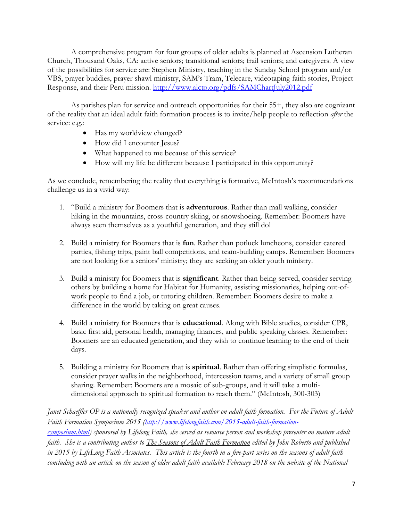A comprehensive program for four groups of older adults is planned at Ascension Lutheran Church, Thousand Oaks, CA: active seniors; transitional seniors; frail seniors; and caregivers. A view of the possibilities for service are: Stephen Ministry, teaching in the Sunday School program and/or VBS, prayer buddies, prayer shawl ministry, SAM's Tram, Telecare, videotaping faith stories, Project Response, and their Peru mission.<http://www.alcto.org/pdfs/SAMChartJuly2012.pdf>

As parishes plan for service and outreach opportunities for their 55+, they also are cognizant of the reality that an ideal adult faith formation process is to invite/help people to reflection *after* the service: e.g.:

- Has my worldview changed?
- How did I encounter Jesus?
- What happened to me because of this service?
- How will my life be different because I participated in this opportunity?

As we conclude, remembering the reality that everything is formative, McIntosh's recommendations challenge us in a vivid way:

- 1. "Build a ministry for Boomers that is **adventurous**. Rather than mall walking, consider hiking in the mountains, cross-country skiing, or snowshoeing. Remember: Boomers have always seen themselves as a youthful generation, and they still do!
- 2. Build a ministry for Boomers that is **fun**. Rather than potluck luncheons, consider catered parties, fishing trips, paint ball competitions, and team-building camps. Remember: Boomers are not looking for a seniors' ministry; they are seeking an older youth ministry.
- 3. Build a ministry for Boomers that is **significant**. Rather than being served, consider serving others by building a home for Habitat for Humanity, assisting missionaries, helping out-ofwork people to find a job, or tutoring children. Remember: Boomers desire to make a difference in the world by taking on great causes.
- 4. Build a ministry for Boomers that is **educationa**l. Along with Bible studies, consider CPR, basic first aid, personal health, managing finances, and public speaking classes. Remember: Boomers are an educated generation, and they wish to continue learning to the end of their days.
- 5. Building a ministry for Boomers that is **spiritual**. Rather than offering simplistic formulas, consider prayer walks in the neighborhood, intercession teams, and a variety of small group sharing. Remember: Boomers are a mosaic of sub-groups, and it will take a multidimensional approach to spiritual formation to reach them." (McIntosh, 300-303)

*Janet Schaeffler OP is a nationally recognized speaker and author on adult faith formation. For the Future of Adult Faith Formation Symposium 2015 [\(http://www.lifelongfaith.com/2015-adult-faith-formation](http://www.lifelongfaith.com/2015-adult-faith-formation-symposium.html)[symposium.html\)](http://www.lifelongfaith.com/2015-adult-faith-formation-symposium.html) sponsored by Lifelong Faith, she served as resource person and workshop presenter on mature adult faith. She is a contributing author to The Seasons of Adult Faith Formation edited by John Roberto and published in 2015 by LifeLong Faith Associates. This article is the fourth in a five-part series on the seasons of adult faith concluding with an article on the season of older adult faith available February 2018 on the website of the National*